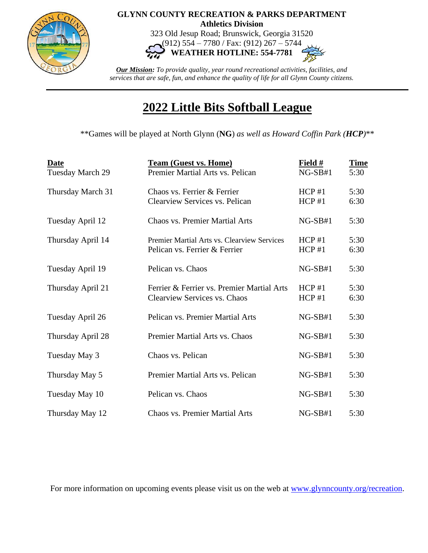

## **GLYNN COUNTY RECREATION & PARKS DEPARTMENT Athletics Division**

323 Old Jesup Road; Brunswick, Georgia 31520 (912) 554 – 7780 / Fax: (912) 267 – 5744

**WEATHER HOTLINE: 554-7781**

*Our Mission: To provide quality, year round recreational activities, facilities, and services that are safe, fun, and enhance the quality of life for all Glynn County citizens.*

## **2022 Little Bits Softball League**

\*\*Games will be played at North Glynn (**NG**) *as well as Howard Coffin Park (HCP)*\*\*

| <b>Date</b><br>Tuesday March 29 | <b>Team (Guest vs. Home)</b><br>Premier Martial Arts vs. Pelican             | Field $#$<br>$NG-SB#1$ | <b>Time</b><br>5:30 |
|---------------------------------|------------------------------------------------------------------------------|------------------------|---------------------|
| Thursday March 31               | Chaos vs. Ferrier & Ferrier<br>Clearview Services vs. Pelican                | HCP#1<br>HCP#1         | 5:30<br>6:30        |
| Tuesday April 12                | <b>Chaos vs. Premier Martial Arts</b>                                        | $NG-SB#1$              | 5:30                |
| Thursday April 14               | Premier Martial Arts vs. Clearview Services<br>Pelican vs. Ferrier & Ferrier | HCP#1<br>HCP#1         | 5:30<br>6:30        |
| Tuesday April 19                | Pelican vs. Chaos                                                            | $NG-SB#1$              | 5:30                |
| Thursday April 21               | Ferrier & Ferrier vs. Premier Martial Arts<br>Clearview Services vs. Chaos   | HCP#1<br>HCP#1         | 5:30<br>6:30        |
| Tuesday April 26                | Pelican vs. Premier Martial Arts                                             | $NG-SB#1$              | 5:30                |
| Thursday April 28               | Premier Martial Arts vs. Chaos                                               | $NG-SB#1$              | 5:30                |
| Tuesday May 3                   | Chaos vs. Pelican                                                            | $NG-SB#1$              | 5:30                |
| Thursday May 5                  | Premier Martial Arts vs. Pelican                                             | $NG-SB#1$              | 5:30                |
| Tuesday May 10                  | Pelican vs. Chaos                                                            | $NG-SB#1$              | 5:30                |
| Thursday May 12                 | <b>Chaos vs. Premier Martial Arts</b>                                        | $NG-SB#1$              | 5:30                |

For more information on upcoming events please visit us on the web at [www.glynncounty.org/recreation.](http://www.glynncounty.org/recreation)